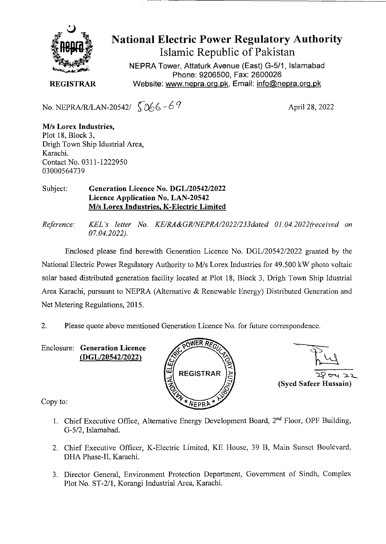

**National Electric Power Regulatory Authority Islamic Republic of Pakistan** 

NEPRA Tower, Attaturk Avenue (East) G-5/1, Islamabad Phone: 9206500, Fax: 2600026 **REGISTRAR Website: www.nepra.org.pk, Email: info@nepra.org.pk** 

No. NEPRA/R/LAN-20542/  $\sqrt{266 - 67}$  April 28, 2022

MIs **Lorex Industries,**  Plot 18, Block 3, Drigh Town Ship Idustrial Area, Karachi. Contact No. 0311-1222950 *03000564739* 

## Subject: **Generation Licence No.** *DGL12054212022*  **Licence Application No. LAN-20542 M/s Lorex Industries, K-Electric Limited**

Enclosed please find herewith Generation Licence No. DGL/20542/2022 granted by the National Electric Power Regulatory Authority to M/s Lorex Industries for 49.500 kW photo voltaic solar based distributed generation facility located at Plot 18, Block 3, Drigh Town Ship Idustrial Area Karachi, pursuant to NEPRA (Alternative & Renewable Energy) Distributed Generation and Net Metering Regulations, 2015.

2. Please quote above mentioned Generation Licence No. for future correspondence.

Enclosure: **Generation Licence**  *(DGL/20542/2022)* 



 $22$  ory  $22$ **(Sycd Safeer Hussain)** 

Copy to:

- 1. Chief Executive Office, Alternative Energy Development Board, 2<sup>nd</sup> Floor, OPF Building, G-5/2, Islamabad.
- 2. Chief Executive Officer, K-Electric Limited, KE House, 39 B, Main Sunset Boulevard, DHA Phase-II, Karachi.
- 3. Director General, Environment Protection Department, Government of Sindh, Complex Plot No. *ST-211,* Korangi Industrial Area, Karachi.

*Reference: KEL 's letter No. KE/RA&GR/NEPRA/2022/233dated 01.04. 2022(received on 07.04.2022).*